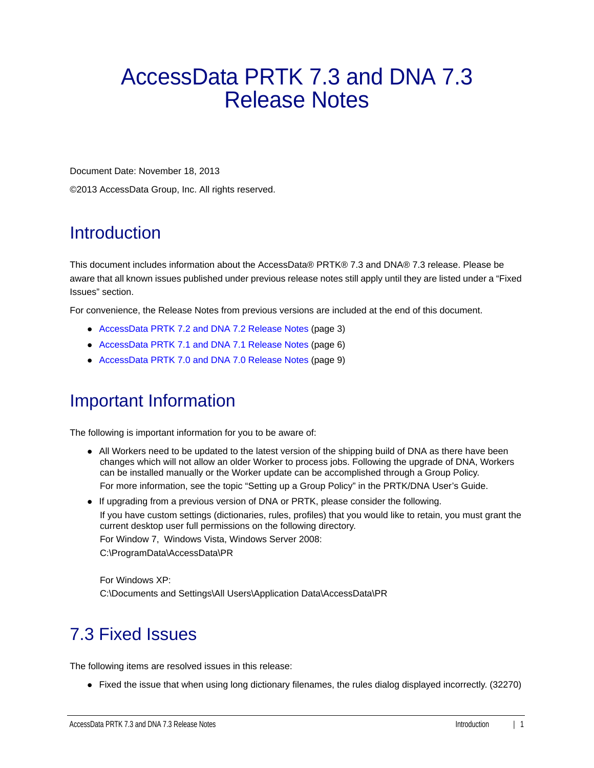# AccessData PRTK 7.3 and DNA 7.3 Release Notes

Document Date: November 18, 2013

©2013 AccessData Group, Inc. All rights reserved.

# **Introduction**

This document includes information about the AccessData® PRTK® 7.3 and DNA® 7.3 release. Please be aware that all known issues published under previous release notes still apply until they are listed under a "Fixed Issues" section.

For convenience, the Release Notes from previous versions are included at the end of this document.

- [AccessData PRTK 7.2 and DNA 7.2 Release Notes \(page 3\)](#page-2-0)
- [AccessData PRTK 7.1 and DNA 7.1 Release Notes \(page 6\)](#page-5-0)
- [AccessData PRTK 7.0 and DNA 7.0 Release Notes \(page 9\)](#page-8-0)

# Important Information

The following is important information for you to be aware of:

- All Workers need to be updated to the latest version of the shipping build of DNA as there have been changes which will not allow an older Worker to process jobs. Following the upgrade of DNA, Workers can be installed manually or the Worker update can be accomplished through a Group Policy. For more information, see the topic "Setting up a Group Policy" in the PRTK/DNA User's Guide.
- If upgrading from a previous version of DNA or PRTK, please consider the following.

If you have custom settings (dictionaries, rules, profiles) that you would like to retain, you must grant the current desktop user full permissions on the following directory.

For Window 7, Windows Vista, Windows Server 2008:

C:\ProgramData\AccessData\PR

For Windows XP: C:\Documents and Settings\All Users\Application Data\AccessData\PR

# 7.3 Fixed Issues

The following items are resolved issues in this release:

• Fixed the issue that when using long dictionary filenames, the rules dialog displayed incorrectly. (32270)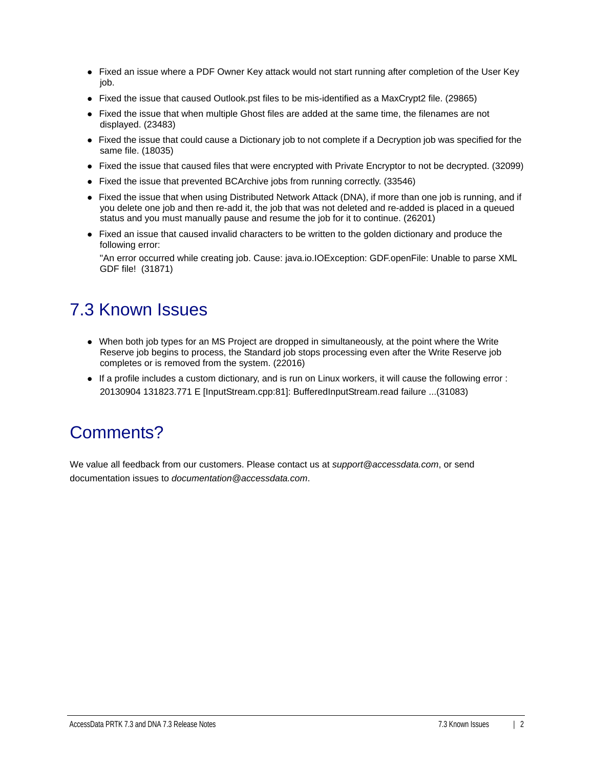- Fixed an issue where a PDF Owner Key attack would not start running after completion of the User Key job.
- Fixed the issue that caused Outlook.pst files to be mis-identified as a MaxCrypt2 file. (29865)
- Fixed the issue that when multiple Ghost files are added at the same time, the filenames are not displayed. (23483)
- Fixed the issue that could cause a Dictionary job to not complete if a Decryption job was specified for the same file. (18035)
- Fixed the issue that caused files that were encrypted with Private Encryptor to not be decrypted. (32099)
- Fixed the issue that prevented BCArchive jobs from running correctly. (33546)
- Fixed the issue that when using Distributed Network Attack (DNA), if more than one job is running, and if you delete one job and then re-add it, the job that was not deleted and re-added is placed in a queued status and you must manually pause and resume the job for it to continue. (26201)
- Fixed an issue that caused invalid characters to be written to the golden dictionary and produce the following error:

"An error occurred while creating job. Cause: java.io.IOException: GDF.openFile: Unable to parse XML GDF file! (31871)

# 7.3 Known Issues

- When both job types for an MS Project are dropped in simultaneously, at the point where the Write Reserve job begins to process, the Standard job stops processing even after the Write Reserve job completes or is removed from the system. (22016)
- If a profile includes a custom dictionary, and is run on Linux workers, it will cause the following error : 20130904 131823.771 E [InputStream.cpp:81]: BufferedInputStream.read failure ...(31083)

### Comments?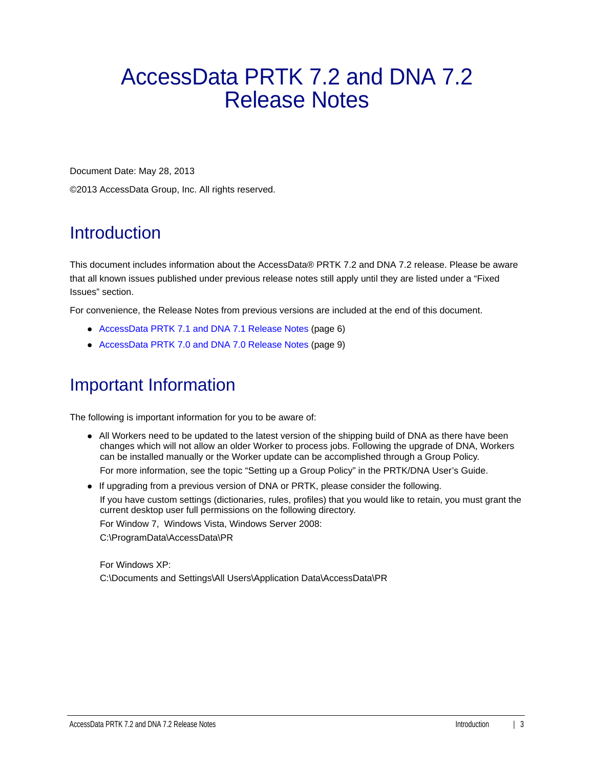# <span id="page-2-0"></span>AccessData PRTK 7.2 and DNA 7.2 Release Notes

Document Date: May 28, 2013

©2013 AccessData Group, Inc. All rights reserved.

# Introduction

This document includes information about the AccessData® PRTK 7.2 and DNA 7.2 release. Please be aware that all known issues published under previous release notes still apply until they are listed under a "Fixed Issues" section.

For convenience, the Release Notes from previous versions are included at the end of this document.

- [AccessData PRTK 7.1 and DNA 7.1 Release Notes \(page 6\)](#page-5-0)
- [AccessData PRTK 7.0 and DNA 7.0 Release Notes \(page 9\)](#page-8-0)

# Important Information

The following is important information for you to be aware of:

- All Workers need to be updated to the latest version of the shipping build of DNA as there have been changes which will not allow an older Worker to process jobs. Following the upgrade of DNA, Workers can be installed manually or the Worker update can be accomplished through a Group Policy. For more information, see the topic "Setting up a Group Policy" in the PRTK/DNA User's Guide.
- If upgrading from a previous version of DNA or PRTK, please consider the following. If you have custom settings (dictionaries, rules, profiles) that you would like to retain, you must grant the current desktop user full permissions on the following directory. For Window 7, Windows Vista, Windows Server 2008: C:\ProgramData\AccessData\PR

For Windows XP: C:\Documents and Settings\All Users\Application Data\AccessData\PR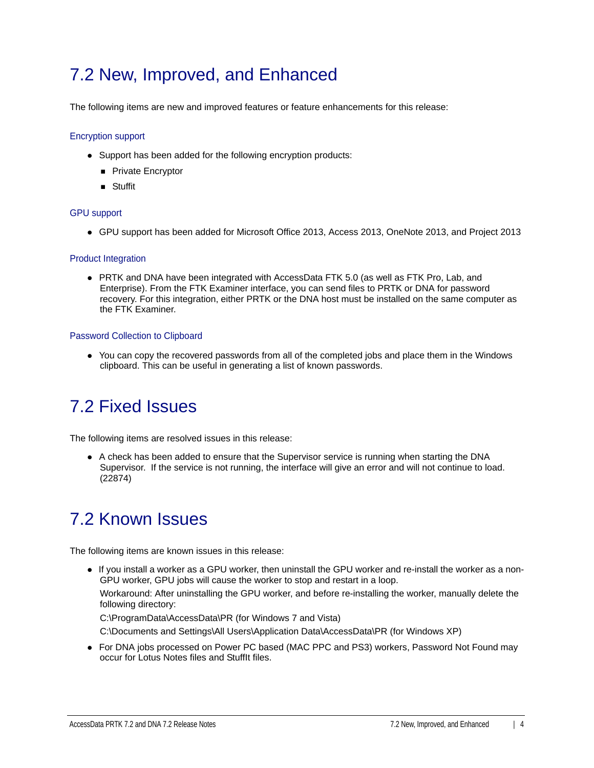### 7.2 New, Improved, and Enhanced

The following items are new and improved features or feature enhancements for this release:

#### Encryption support

- Support has been added for the following encryption products:
	- **Private Encryptor**
	- **B** Stuffit

#### GPU support

GPU support has been added for Microsoft Office 2013, Access 2013, OneNote 2013, and Project 2013

#### Product Integration

PRTK and DNA have been integrated with AccessData FTK 5.0 (as well as FTK Pro, Lab, and Enterprise). From the FTK Examiner interface, you can send files to PRTK or DNA for password recovery. For this integration, either PRTK or the DNA host must be installed on the same computer as the FTK Examiner.

#### Password Collection to Clipboard

• You can copy the recovered passwords from all of the completed jobs and place them in the Windows clipboard. This can be useful in generating a list of known passwords.

### 7.2 Fixed Issues

The following items are resolved issues in this release:

A check has been added to ensure that the Supervisor service is running when starting the DNA Supervisor. If the service is not running, the interface will give an error and will not continue to load. (22874)

### 7.2 Known Issues

The following items are known issues in this release:

If you install a worker as a GPU worker, then uninstall the GPU worker and re-install the worker as a non-GPU worker, GPU jobs will cause the worker to stop and restart in a loop.

Workaround: After uninstalling the GPU worker, and before re-installing the worker, manually delete the following directory:

C:\ProgramData\AccessData\PR (for Windows 7 and Vista)

C:\Documents and Settings\All Users\Application Data\AccessData\PR (for Windows XP)

For DNA jobs processed on Power PC based (MAC PPC and PS3) workers, Password Not Found may occur for Lotus Notes files and StuffIt files.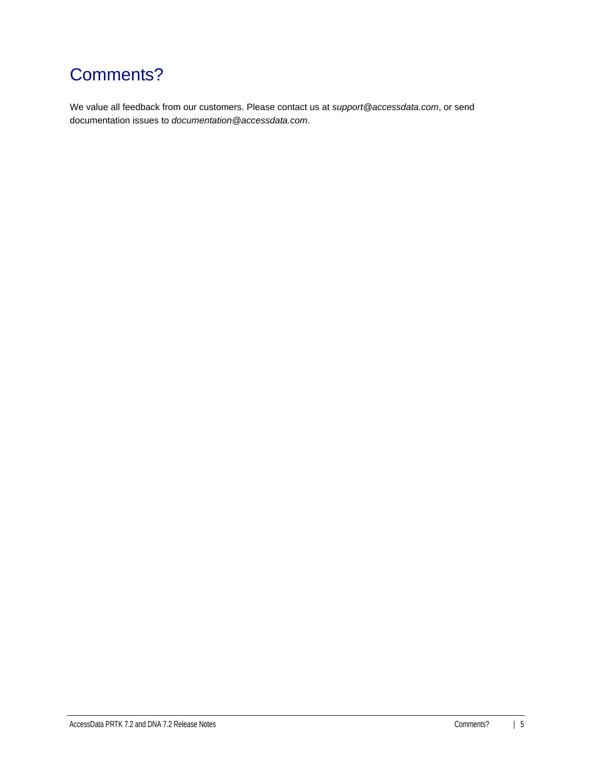# Comments?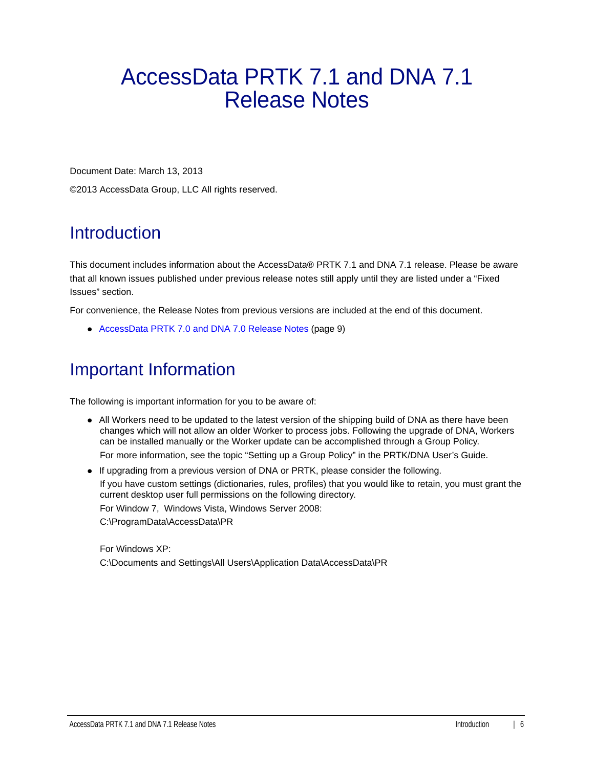# <span id="page-5-0"></span>AccessData PRTK 7.1 and DNA 7.1 Release Notes

Document Date: March 13, 2013

©2013 AccessData Group, LLC All rights reserved.

# **Introduction**

This document includes information about the AccessData® PRTK 7.1 and DNA 7.1 release. Please be aware that all known issues published under previous release notes still apply until they are listed under a "Fixed Issues" section.

For convenience, the Release Notes from previous versions are included at the end of this document.

[AccessData PRTK 7.0 and DNA 7.0 Release Notes \(page 9\)](#page-8-0)

### Important Information

The following is important information for you to be aware of:

- All Workers need to be updated to the latest version of the shipping build of DNA as there have been changes which will not allow an older Worker to process jobs. Following the upgrade of DNA, Workers can be installed manually or the Worker update can be accomplished through a Group Policy. For more information, see the topic "Setting up a Group Policy" in the PRTK/DNA User's Guide.
- If upgrading from a previous version of DNA or PRTK, please consider the following.

If you have custom settings (dictionaries, rules, profiles) that you would like to retain, you must grant the current desktop user full permissions on the following directory.

For Window 7, Windows Vista, Windows Server 2008:

C:\ProgramData\AccessData\PR

For Windows XP: C:\Documents and Settings\All Users\Application Data\AccessData\PR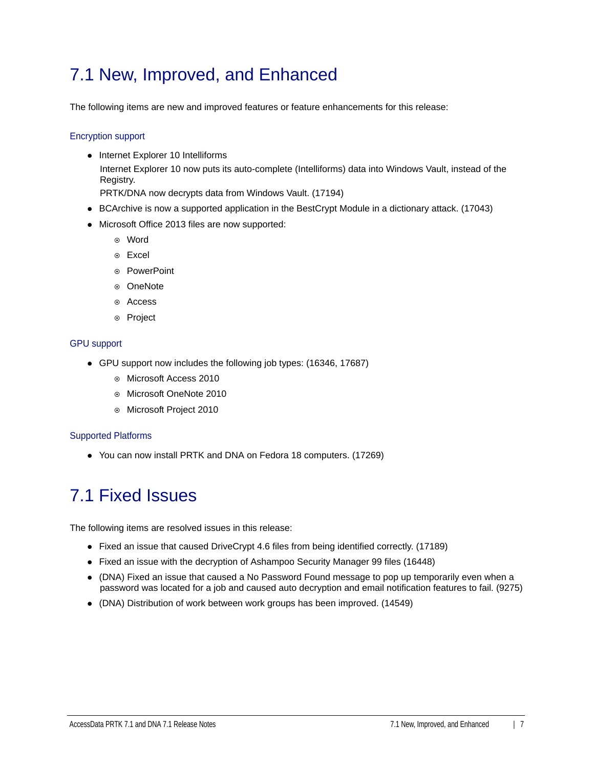### 7.1 New, Improved, and Enhanced

The following items are new and improved features or feature enhancements for this release:

#### Encryption support

• Internet Explorer 10 Intelliforms Internet Explorer 10 now puts its auto-complete (Intelliforms) data into Windows Vault, instead of the Registry.

PRTK/DNA now decrypts data from Windows Vault. (17194)

- BCArchive is now a supported application in the BestCrypt Module in a dictionary attack. (17043)
- Microsoft Office 2013 files are now supported:
	- Word
	- Excel
	- ◎ PowerPoint
	- ⊙ OneNote
	- Access
	- ⊙ Project

#### GPU support

- GPU support now includes the following job types: (16346, 17687)
	- Microsoft Access 2010
	- Microsoft OneNote 2010
	- Microsoft Project 2010

#### Supported Platforms

You can now install PRTK and DNA on Fedora 18 computers. (17269)

### 7.1 Fixed Issues

The following items are resolved issues in this release:

- Fixed an issue that caused DriveCrypt 4.6 files from being identified correctly. (17189)
- Fixed an issue with the decryption of Ashampoo Security Manager 99 files (16448)
- (DNA) Fixed an issue that caused a No Password Found message to pop up temporarily even when a password was located for a job and caused auto decryption and email notification features to fail. (9275)
- (DNA) Distribution of work between work groups has been improved. (14549)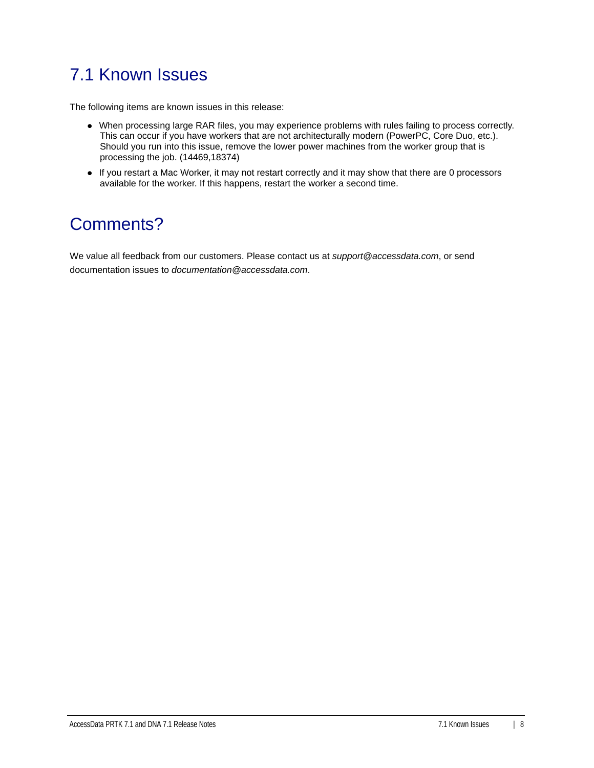# 7.1 Known Issues

The following items are known issues in this release:

- When processing large RAR files, you may experience problems with rules failing to process correctly. This can occur if you have workers that are not architecturally modern (PowerPC, Core Duo, etc.). Should you run into this issue, remove the lower power machines from the worker group that is processing the job. (14469,18374)
- If you restart a Mac Worker, it may not restart correctly and it may show that there are 0 processors available for the worker. If this happens, restart the worker a second time.

### Comments?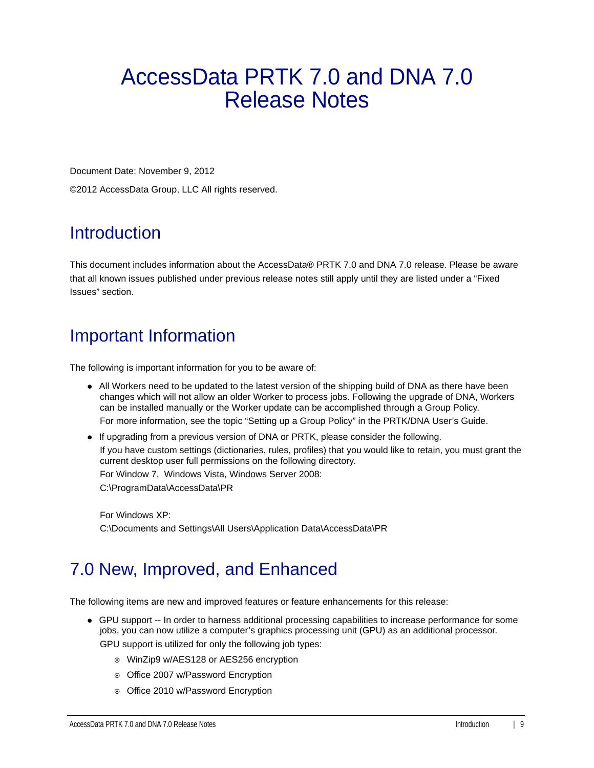# <span id="page-8-0"></span>AccessData PRTK 7.0 and DNA 7.0 Release Notes

Document Date: November 9, 2012

©2012 AccessData Group, LLC All rights reserved.

# **Introduction**

This document includes information about the AccessData® PRTK 7.0 and DNA 7.0 release. Please be aware that all known issues published under previous release notes still apply until they are listed under a "Fixed Issues" section.

# Important Information

The following is important information for you to be aware of:

- All Workers need to be updated to the latest version of the shipping build of DNA as there have been changes which will not allow an older Worker to process jobs. Following the upgrade of DNA, Workers can be installed manually or the Worker update can be accomplished through a Group Policy. For more information, see the topic "Setting up a Group Policy" in the PRTK/DNA User's Guide.
- If upgrading from a previous version of DNA or PRTK, please consider the following. If you have custom settings (dictionaries, rules, profiles) that you would like to retain, you must grant the current desktop user full permissions on the following directory. For Window 7, Windows Vista, Windows Server 2008:

C:\ProgramData\AccessData\PR

For Windows XP: C:\Documents and Settings\All Users\Application Data\AccessData\PR

### 7.0 New, Improved, and Enhanced

The following items are new and improved features or feature enhancements for this release:

GPU support -- In order to harness additional processing capabilities to increase performance for some jobs, you can now utilize a computer's graphics processing unit (GPU) as an additional processor.

GPU support is utilized for only the following job types:

- WinZip9 w/AES128 or AES256 encryption
- o Office 2007 w/Password Encryption
- o Office 2010 w/Password Encryption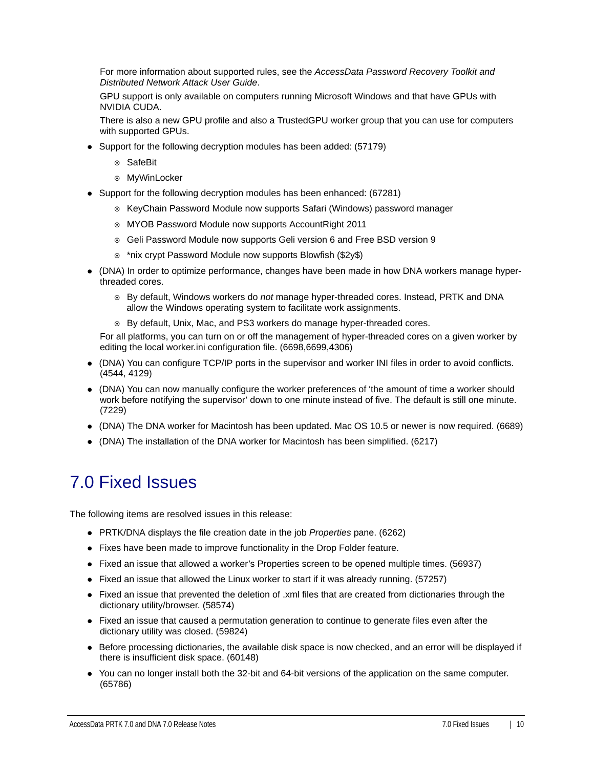For more information about supported rules, see the *AccessData Password Recovery Toolkit and Distributed Network Attack User Guide*.

GPU support is only available on computers running Microsoft Windows and that have GPUs with NVIDIA CUDA.

There is also a new GPU profile and also a TrustedGPU worker group that you can use for computers with supported GPUs.

- Support for the following decryption modules has been added: (57179)
	- ⊙ SafeBit
	- MyWinLocker
- Support for the following decryption modules has been enhanced: (67281)
	- $\circ$  KeyChain Password Module now supports Safari (Windows) password manager
	- MYOB Password Module now supports AccountRight 2011
	- Geli Password Module now supports Geli version 6 and Free BSD version 9
	- \*nix crypt Password Module now supports Blowfish (\$2y\$)
- (DNA) In order to optimize performance, changes have been made in how DNA workers manage hyperthreaded cores.
	- By default, Windows workers do *not* manage hyper-threaded cores. Instead, PRTK and DNA allow the Windows operating system to facilitate work assignments.
	- By default, Unix, Mac, and PS3 workers do manage hyper-threaded cores.

For all platforms, you can turn on or off the management of hyper-threaded cores on a given worker by editing the local worker.ini configuration file. (6698,6699,4306)

- (DNA) You can configure TCP/IP ports in the supervisor and worker INI files in order to avoid conflicts. (4544, 4129)
- (DNA) You can now manually configure the worker preferences of 'the amount of time a worker should work before notifying the supervisor' down to one minute instead of five. The default is still one minute. (7229)
- (DNA) The DNA worker for Macintosh has been updated. Mac OS 10.5 or newer is now required. (6689)
- (DNA) The installation of the DNA worker for Macintosh has been simplified. (6217)

#### 7.0 Fixed Issues

The following items are resolved issues in this release:

- PRTK/DNA displays the file creation date in the job *Properties* pane. (6262)
- Fixes have been made to improve functionality in the Drop Folder feature.
- Fixed an issue that allowed a worker's Properties screen to be opened multiple times. (56937)
- Fixed an issue that allowed the Linux worker to start if it was already running. (57257)
- Fixed an issue that prevented the deletion of .xml files that are created from dictionaries through the dictionary utility/browser. (58574)
- Fixed an issue that caused a permutation generation to continue to generate files even after the dictionary utility was closed. (59824)
- Before processing dictionaries, the available disk space is now checked, and an error will be displayed if there is insufficient disk space. (60148)
- You can no longer install both the 32-bit and 64-bit versions of the application on the same computer. (65786)